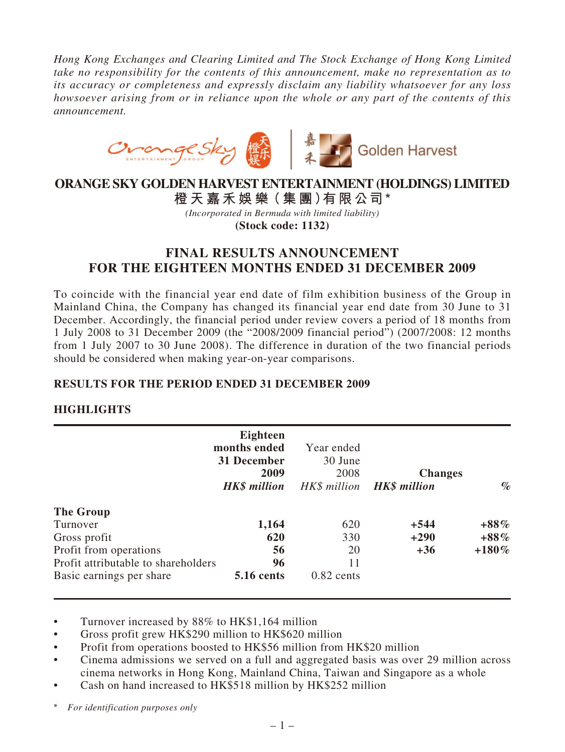*Hong Kong Exchanges and Clearing Limited and The Stock Exchange of Hong Kong Limited take no responsibility for the contents of this announcement, make no representation as to its accuracy or completeness and expressly disclaim any liability whatsoever for any loss howsoever arising from or in reliance upon the whole or any part of the contents of this announcement.*



# **ORANGE SKY GOLDEN HARVEST ENTERTAINMENT (HOLDINGS) LIMITED**

**橙 天 嘉禾娛 樂(集 團)有限公司\***

*(Incorporated in Bermuda with limited liability)* **(Stock code: 1132)**

# **FINAL RESULTS ANNOUNCEMENT FOR THE EIGHTEEN MONTHS ENDED 31 DECEMBER 2009**

To coincide with the financial year end date of film exhibition business of the Group in Mainland China, the Company has changed its financial year end date from 30 June to 31 December. Accordingly, the financial period under review covers a period of 18 months from 1 July 2008 to 31 December 2009 (the "2008/2009 financial period") (2007/2008: 12 months from 1 July 2007 to 30 June 2008). The difference in duration of the two financial periods should be considered when making year-on-year comparisons.

# **RESULTS FOR THE PERIOD ENDED 31 DECEMBER 2009**

# **HIGHLIGHTS**

|                                     | Eighteen<br>months ended<br>31 December<br>2009 | Year ended<br>30 June<br>2008 | <b>Changes</b>                   |          |
|-------------------------------------|-------------------------------------------------|-------------------------------|----------------------------------|----------|
|                                     | <b>HK\$</b> million                             |                               | HK\$ million <b>HK\$ million</b> | $\%$     |
| The Group                           |                                                 |                               |                                  |          |
| Turnover                            | 1,164                                           | 620                           | $+544$                           | $+88\%$  |
| Gross profit                        | 620                                             | 330                           | $+290$                           | $+88\%$  |
| Profit from operations              | 56                                              | 20                            | $+36$                            | $+180\%$ |
| Profit attributable to shareholders | 96                                              | 11                            |                                  |          |
| Basic earnings per share            | <b>5.16 cents</b>                               | $0.82$ cents                  |                                  |          |

• Turnover increased by 88% to HK\$1,164 million

• Gross profit grew HK\$290 million to HK\$620 million

• Profit from operations boosted to HK\$56 million from HK\$20 million

• Cinema admissions we served on a full and aggregated basis was over 29 million across cinema networks in Hong Kong, Mainland China, Taiwan and Singapore as a whole

Cash on hand increased to HK\$518 million by HK\$252 million

\* *For identification purposes only*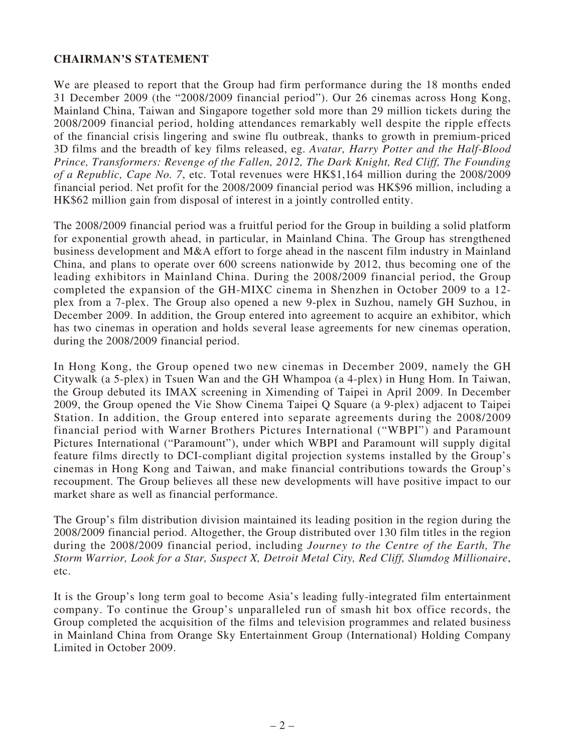# **CHAIRMAN'S STATEMENT**

We are pleased to report that the Group had firm performance during the 18 months ended 31 December 2009 (the "2008/2009 financial period"). Our 26 cinemas across Hong Kong, Mainland China, Taiwan and Singapore together sold more than 29 million tickets during the 2008/2009 financial period, holding attendances remarkably well despite the ripple effects of the financial crisis lingering and swine flu outbreak, thanks to growth in premium-priced 3D films and the breadth of key films released, eg. *Avatar, Harry Potter and the Half-Blood Prince, Transformers: Revenge of the Fallen, 2012, The Dark Knight, Red Cliff, The Founding of a Republic, Cape No. 7*, etc. Total revenues were HK\$1,164 million during the 2008/2009 financial period. Net profit for the 2008/2009 financial period was HK\$96 million, including a HK\$62 million gain from disposal of interest in a jointly controlled entity.

The 2008/2009 financial period was a fruitful period for the Group in building a solid platform for exponential growth ahead, in particular, in Mainland China. The Group has strengthened business development and M&A effort to forge ahead in the nascent film industry in Mainland China, and plans to operate over 600 screens nationwide by 2012, thus becoming one of the leading exhibitors in Mainland China. During the 2008/2009 financial period, the Group completed the expansion of the GH-MIXC cinema in Shenzhen in October 2009 to a 12 plex from a 7-plex. The Group also opened a new 9-plex in Suzhou, namely GH Suzhou, in December 2009. In addition, the Group entered into agreement to acquire an exhibitor, which has two cinemas in operation and holds several lease agreements for new cinemas operation, during the 2008/2009 financial period.

In Hong Kong, the Group opened two new cinemas in December 2009, namely the GH Citywalk (a 5-plex) in Tsuen Wan and the GH Whampoa (a 4-plex) in Hung Hom. In Taiwan, the Group debuted its IMAX screening in Ximending of Taipei in April 2009. In December 2009, the Group opened the Vie Show Cinema Taipei Q Square (a 9-plex) adjacent to Taipei Station. In addition, the Group entered into separate agreements during the 2008/2009 financial period with Warner Brothers Pictures International ("WBPI") and Paramount Pictures International ("Paramount"), under which WBPI and Paramount will supply digital feature films directly to DCI-compliant digital projection systems installed by the Group's cinemas in Hong Kong and Taiwan, and make financial contributions towards the Group's recoupment. The Group believes all these new developments will have positive impact to our market share as well as financial performance.

The Group's film distribution division maintained its leading position in the region during the 2008/2009 financial period. Altogether, the Group distributed over 130 film titles in the region during the 2008/2009 financial period, including *Journey to the Centre of the Earth, The Storm Warrior, Look for a Star, Suspect X, Detroit Metal City, Red Cliff, Slumdog Millionaire*, etc.

It is the Group's long term goal to become Asia's leading fully-integrated film entertainment company. To continue the Group's unparalleled run of smash hit box office records, the Group completed the acquisition of the films and television programmes and related business in Mainland China from Orange Sky Entertainment Group (International) Holding Company Limited in October 2009.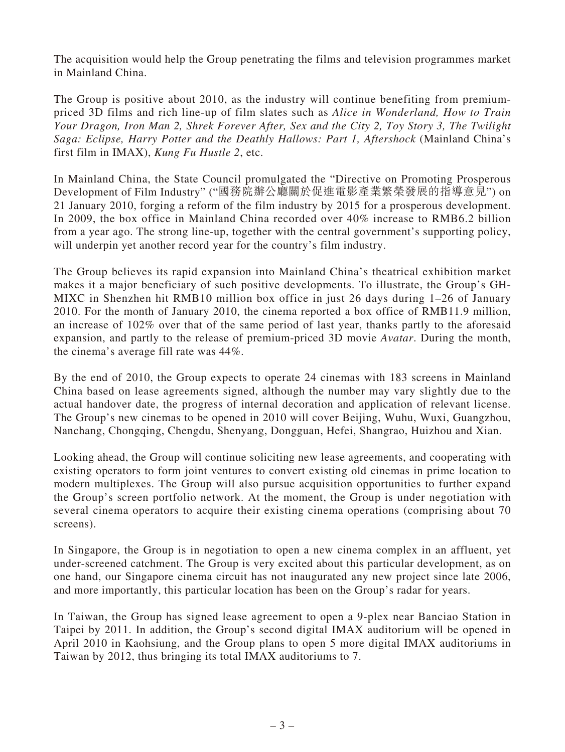The acquisition would help the Group penetrating the films and television programmes market in Mainland China.

The Group is positive about 2010, as the industry will continue benefiting from premiumpriced 3D films and rich line-up of film slates such as *Alice in Wonderland, How to Train Your Dragon, Iron Man 2, Shrek Forever After, Sex and the City 2, Toy Story 3, The Twilight Saga: Eclipse, Harry Potter and the Deathly Hallows: Part 1, Aftershock* (Mainland China's first film in IMAX), *Kung Fu Hustle 2*, etc.

In Mainland China, the State Council promulgated the "Directive on Promoting Prosperous Development of Film Industry" ("國務院辦公廳關於促進電影產業繁榮發展的指導意見") on 21 January 2010, forging a reform of the film industry by 2015 for a prosperous development. In 2009, the box office in Mainland China recorded over 40% increase to RMB6.2 billion from a year ago. The strong line-up, together with the central government's supporting policy, will underpin yet another record year for the country's film industry.

The Group believes its rapid expansion into Mainland China's theatrical exhibition market makes it a major beneficiary of such positive developments. To illustrate, the Group's GH-MIXC in Shenzhen hit RMB10 million box office in just 26 days during 1–26 of January 2010. For the month of January 2010, the cinema reported a box office of RMB11.9 million, an increase of 102% over that of the same period of last year, thanks partly to the aforesaid expansion, and partly to the release of premium-priced 3D movie *Avatar*. During the month, the cinema's average fill rate was 44%.

By the end of 2010, the Group expects to operate 24 cinemas with 183 screens in Mainland China based on lease agreements signed, although the number may vary slightly due to the actual handover date, the progress of internal decoration and application of relevant license. The Group's new cinemas to be opened in 2010 will cover Beijing, Wuhu, Wuxi, Guangzhou, Nanchang, Chongqing, Chengdu, Shenyang, Dongguan, Hefei, Shangrao, Huizhou and Xian.

Looking ahead, the Group will continue soliciting new lease agreements, and cooperating with existing operators to form joint ventures to convert existing old cinemas in prime location to modern multiplexes. The Group will also pursue acquisition opportunities to further expand the Group's screen portfolio network. At the moment, the Group is under negotiation with several cinema operators to acquire their existing cinema operations (comprising about 70 screens).

In Singapore, the Group is in negotiation to open a new cinema complex in an affluent, yet under-screened catchment. The Group is very excited about this particular development, as on one hand, our Singapore cinema circuit has not inaugurated any new project since late 2006, and more importantly, this particular location has been on the Group's radar for years.

In Taiwan, the Group has signed lease agreement to open a 9-plex near Banciao Station in Taipei by 2011. In addition, the Group's second digital IMAX auditorium will be opened in April 2010 in Kaohsiung, and the Group plans to open 5 more digital IMAX auditoriums in Taiwan by 2012, thus bringing its total IMAX auditoriums to 7.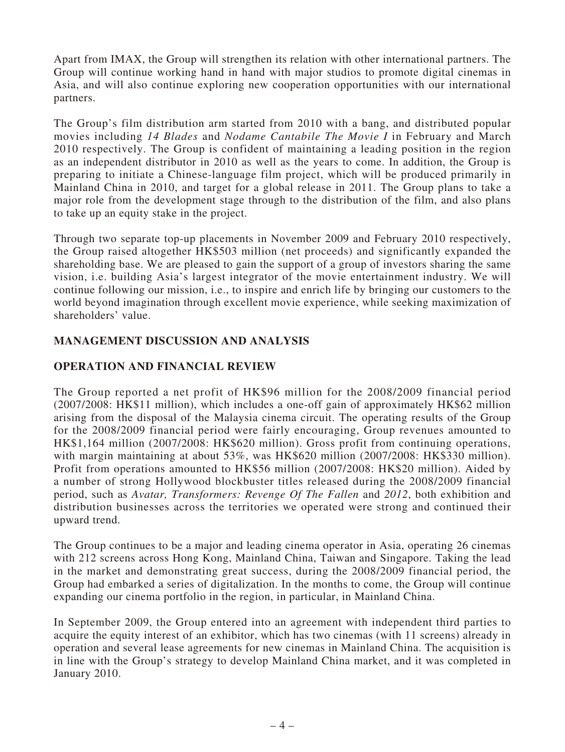Apart from IMAX, the Group will strengthen its relation with other international partners. The Group will continue working hand in hand with major studios to promote digital cinemas in Asia, and will also continue exploring new cooperation opportunities with our international partners.

The Group's film distribution arm started from 2010 with a bang, and distributed popular movies including *14 Blades* and *Nodame Cantabile The Movie I* in February and March 2010 respectively. The Group is confident of maintaining a leading position in the region as an independent distributor in 2010 as well as the years to come. In addition, the Group is preparing to initiate a Chinese-language film project, which will be produced primarily in Mainland China in 2010, and target for a global release in 2011. The Group plans to take a major role from the development stage through to the distribution of the film, and also plans to take up an equity stake in the project.

Through two separate top-up placements in November 2009 and February 2010 respectively, the Group raised altogether HK\$503 million (net proceeds) and significantly expanded the shareholding base. We are pleased to gain the support of a group of investors sharing the same vision, i.e. building Asia's largest integrator of the movie entertainment industry. We will continue following our mission, i.e., to inspire and enrich life by bringing our customers to the world beyond imagination through excellent movie experience, while seeking maximization of shareholders' value.

# **MANAGEMENT DISCUSSION AND ANALYSIS**

# **OPERATION AND FINANCIAL REVIEW**

The Group reported a net profit of HK\$96 million for the 2008/2009 financial period (2007/2008: HK\$11 million), which includes a one-off gain of approximately HK\$62 million arising from the disposal of the Malaysia cinema circuit. The operating results of the Group for the 2008/2009 financial period were fairly encouraging, Group revenues amounted to HK\$1,164 million (2007/2008: HK\$620 million). Gross profit from continuing operations, with margin maintaining at about 53%, was HK\$620 million (2007/2008: HK\$330 million). Profit from operations amounted to HK\$56 million (2007/2008: HK\$20 million). Aided by a number of strong Hollywood blockbuster titles released during the 2008/2009 financial period, such as *Avatar, Transformers: Revenge Of The Fallen* and *2012*, both exhibition and distribution businesses across the territories we operated were strong and continued their upward trend.

The Group continues to be a major and leading cinema operator in Asia, operating 26 cinemas with 212 screens across Hong Kong, Mainland China, Taiwan and Singapore. Taking the lead in the market and demonstrating great success, during the 2008/2009 financial period, the Group had embarked a series of digitalization. In the months to come, the Group will continue expanding our cinema portfolio in the region, in particular, in Mainland China.

In September 2009, the Group entered into an agreement with independent third parties to acquire the equity interest of an exhibitor, which has two cinemas (with 11 screens) already in operation and several lease agreements for new cinemas in Mainland China. The acquisition is in line with the Group's strategy to develop Mainland China market, and it was completed in January 2010.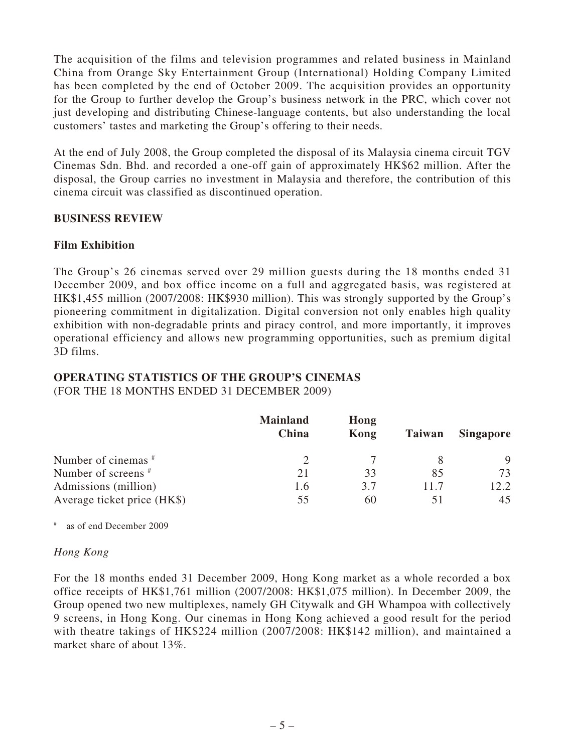The acquisition of the films and television programmes and related business in Mainland China from Orange Sky Entertainment Group (International) Holding Company Limited has been completed by the end of October 2009. The acquisition provides an opportunity for the Group to further develop the Group's business network in the PRC, which cover not just developing and distributing Chinese-language contents, but also understanding the local customers' tastes and marketing the Group's offering to their needs.

At the end of July 2008, the Group completed the disposal of its Malaysia cinema circuit TGV Cinemas Sdn. Bhd. and recorded a one-off gain of approximately HK\$62 million. After the disposal, the Group carries no investment in Malaysia and therefore, the contribution of this cinema circuit was classified as discontinued operation.

### **BUSINESS REVIEW**

### **Film Exhibition**

The Group's 26 cinemas served over 29 million guests during the 18 months ended 31 December 2009, and box office income on a full and aggregated basis, was registered at HK\$1,455 million (2007/2008: HK\$930 million). This was strongly supported by the Group's pioneering commitment in digitalization. Digital conversion not only enables high quality exhibition with non-degradable prints and piracy control, and more importantly, it improves operational efficiency and allows new programming opportunities, such as premium digital 3D films.

### **OPERATING STATISTICS OF THE GROUP'S CINEMAS** (FOR THE 18 MONTHS ENDED 31 DECEMBER 2009)

|                             | <b>Mainland</b><br>China | Hong<br>Kong | Taiwan | <b>Singapore</b> |
|-----------------------------|--------------------------|--------------|--------|------------------|
| Number of cinemas #         |                          |              |        | 9                |
| Number of screens #         | 21                       | 33           | 85     | 73               |
| Admissions (million)        | 1.6                      | 3.7          | 11.7   | 12.2             |
| Average ticket price (HK\$) | 55                       | 60           |        | 45               |

# as of end December 2009

### *Hong Kong*

For the 18 months ended 31 December 2009, Hong Kong market as a whole recorded a box office receipts of HK\$1,761 million (2007/2008: HK\$1,075 million). In December 2009, the Group opened two new multiplexes, namely GH Citywalk and GH Whampoa with collectively 9 screens, in Hong Kong. Our cinemas in Hong Kong achieved a good result for the period with theatre takings of HK\$224 million (2007/2008: HK\$142 million), and maintained a market share of about 13%.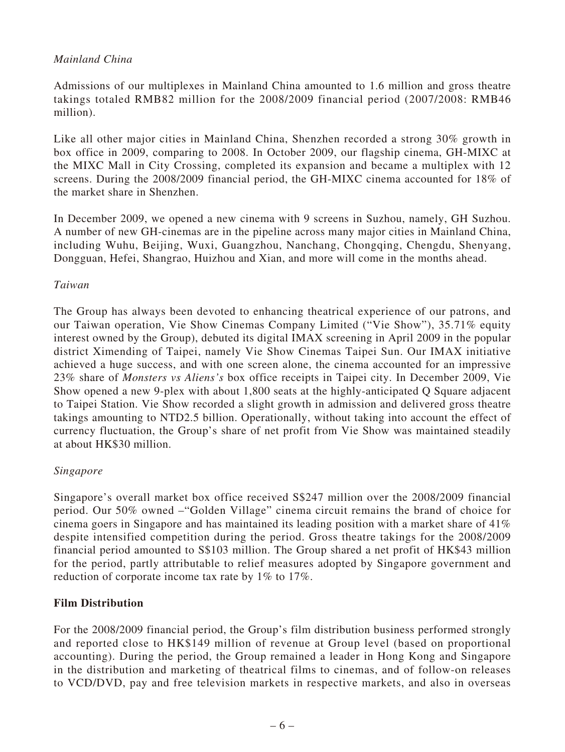# *Mainland China*

Admissions of our multiplexes in Mainland China amounted to 1.6 million and gross theatre takings totaled RMB82 million for the 2008/2009 financial period (2007/2008: RMB46 million).

Like all other major cities in Mainland China, Shenzhen recorded a strong 30% growth in box office in 2009, comparing to 2008. In October 2009, our flagship cinema, GH-MIXC at the MIXC Mall in City Crossing, completed its expansion and became a multiplex with 12 screens. During the 2008/2009 financial period, the GH-MIXC cinema accounted for 18% of the market share in Shenzhen.

In December 2009, we opened a new cinema with 9 screens in Suzhou, namely, GH Suzhou. A number of new GH-cinemas are in the pipeline across many major cities in Mainland China, including Wuhu, Beijing, Wuxi, Guangzhou, Nanchang, Chongqing, Chengdu, Shenyang, Dongguan, Hefei, Shangrao, Huizhou and Xian, and more will come in the months ahead.

### *Taiwan*

The Group has always been devoted to enhancing theatrical experience of our patrons, and our Taiwan operation, Vie Show Cinemas Company Limited ("Vie Show"), 35.71% equity interest owned by the Group), debuted its digital IMAX screening in April 2009 in the popular district Ximending of Taipei, namely Vie Show Cinemas Taipei Sun. Our IMAX initiative achieved a huge success, and with one screen alone, the cinema accounted for an impressive 23% share of *Monsters vs Aliens's* box office receipts in Taipei city. In December 2009, Vie Show opened a new 9-plex with about 1,800 seats at the highly-anticipated Q Square adjacent to Taipei Station. Vie Show recorded a slight growth in admission and delivered gross theatre takings amounting to NTD2.5 billion. Operationally, without taking into account the effect of currency fluctuation, the Group's share of net profit from Vie Show was maintained steadily at about HK\$30 million.

# *Singapore*

Singapore's overall market box office received S\$247 million over the 2008/2009 financial period. Our 50% owned –"Golden Village" cinema circuit remains the brand of choice for cinema goers in Singapore and has maintained its leading position with a market share of 41% despite intensified competition during the period. Gross theatre takings for the 2008/2009 financial period amounted to S\$103 million. The Group shared a net profit of HK\$43 million for the period, partly attributable to relief measures adopted by Singapore government and reduction of corporate income tax rate by 1% to 17%.

# **Film Distribution**

For the 2008/2009 financial period, the Group's film distribution business performed strongly and reported close to HK\$149 million of revenue at Group level (based on proportional accounting). During the period, the Group remained a leader in Hong Kong and Singapore in the distribution and marketing of theatrical films to cinemas, and of follow-on releases to VCD/DVD, pay and free television markets in respective markets, and also in overseas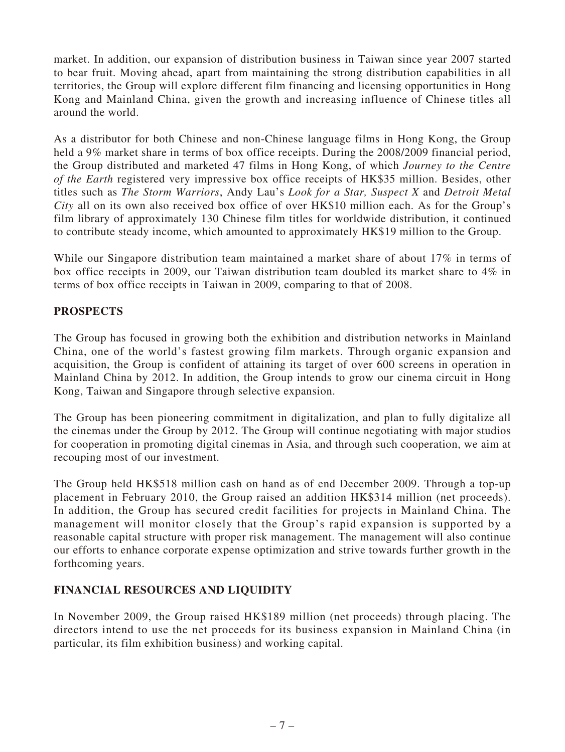market. In addition, our expansion of distribution business in Taiwan since year 2007 started to bear fruit. Moving ahead, apart from maintaining the strong distribution capabilities in all territories, the Group will explore different film financing and licensing opportunities in Hong Kong and Mainland China, given the growth and increasing influence of Chinese titles all around the world.

As a distributor for both Chinese and non-Chinese language films in Hong Kong, the Group held a 9% market share in terms of box office receipts. During the 2008/2009 financial period, the Group distributed and marketed 47 films in Hong Kong, of which *Journey to the Centre of the Earth* registered very impressive box office receipts of HK\$35 million. Besides, other titles such as *The Storm Warriors*, Andy Lau's *Look for a Star, Suspect X* and *Detroit Metal City* all on its own also received box office of over HK\$10 million each. As for the Group's film library of approximately 130 Chinese film titles for worldwide distribution, it continued to contribute steady income, which amounted to approximately HK\$19 million to the Group.

While our Singapore distribution team maintained a market share of about 17% in terms of box office receipts in 2009, our Taiwan distribution team doubled its market share to 4% in terms of box office receipts in Taiwan in 2009, comparing to that of 2008.

# **PROSPECTS**

The Group has focused in growing both the exhibition and distribution networks in Mainland China, one of the world's fastest growing film markets. Through organic expansion and acquisition, the Group is confident of attaining its target of over 600 screens in operation in Mainland China by 2012. In addition, the Group intends to grow our cinema circuit in Hong Kong, Taiwan and Singapore through selective expansion.

The Group has been pioneering commitment in digitalization, and plan to fully digitalize all the cinemas under the Group by 2012. The Group will continue negotiating with major studios for cooperation in promoting digital cinemas in Asia, and through such cooperation, we aim at recouping most of our investment.

The Group held HK\$518 million cash on hand as of end December 2009. Through a top-up placement in February 2010, the Group raised an addition HK\$314 million (net proceeds). In addition, the Group has secured credit facilities for projects in Mainland China. The management will monitor closely that the Group's rapid expansion is supported by a reasonable capital structure with proper risk management. The management will also continue our efforts to enhance corporate expense optimization and strive towards further growth in the forthcoming years.

# **FINANCIAL RESOURCES AND LIQUIDITY**

In November 2009, the Group raised HK\$189 million (net proceeds) through placing. The directors intend to use the net proceeds for its business expansion in Mainland China (in particular, its film exhibition business) and working capital.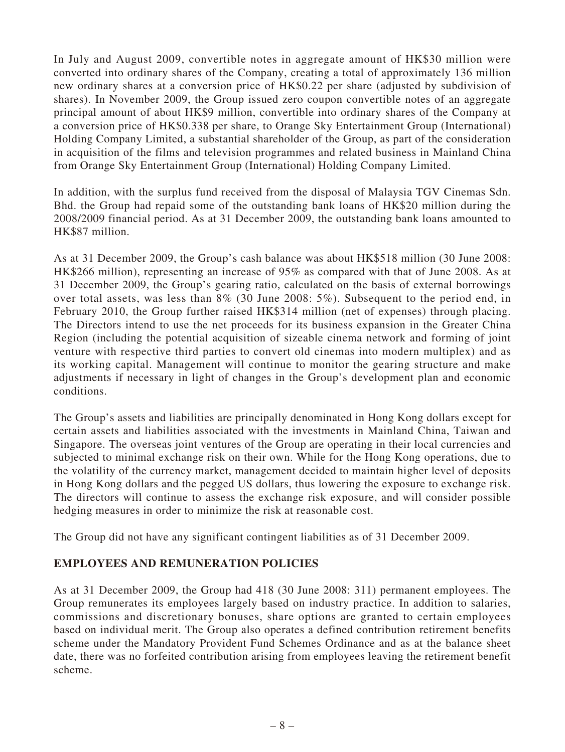In July and August 2009, convertible notes in aggregate amount of HK\$30 million were converted into ordinary shares of the Company, creating a total of approximately 136 million new ordinary shares at a conversion price of HK\$0.22 per share (adjusted by subdivision of shares). In November 2009, the Group issued zero coupon convertible notes of an aggregate principal amount of about HK\$9 million, convertible into ordinary shares of the Company at a conversion price of HK\$0.338 per share, to Orange Sky Entertainment Group (International) Holding Company Limited, a substantial shareholder of the Group, as part of the consideration in acquisition of the films and television programmes and related business in Mainland China from Orange Sky Entertainment Group (International) Holding Company Limited.

In addition, with the surplus fund received from the disposal of Malaysia TGV Cinemas Sdn. Bhd. the Group had repaid some of the outstanding bank loans of HK\$20 million during the 2008/2009 financial period. As at 31 December 2009, the outstanding bank loans amounted to HK\$87 million.

As at 31 December 2009, the Group's cash balance was about HK\$518 million (30 June 2008: HK\$266 million), representing an increase of 95% as compared with that of June 2008. As at 31 December 2009, the Group's gearing ratio, calculated on the basis of external borrowings over total assets, was less than 8% (30 June 2008: 5%). Subsequent to the period end, in February 2010, the Group further raised HK\$314 million (net of expenses) through placing. The Directors intend to use the net proceeds for its business expansion in the Greater China Region (including the potential acquisition of sizeable cinema network and forming of joint venture with respective third parties to convert old cinemas into modern multiplex) and as its working capital. Management will continue to monitor the gearing structure and make adjustments if necessary in light of changes in the Group's development plan and economic conditions.

The Group's assets and liabilities are principally denominated in Hong Kong dollars except for certain assets and liabilities associated with the investments in Mainland China, Taiwan and Singapore. The overseas joint ventures of the Group are operating in their local currencies and subjected to minimal exchange risk on their own. While for the Hong Kong operations, due to the volatility of the currency market, management decided to maintain higher level of deposits in Hong Kong dollars and the pegged US dollars, thus lowering the exposure to exchange risk. The directors will continue to assess the exchange risk exposure, and will consider possible hedging measures in order to minimize the risk at reasonable cost.

The Group did not have any significant contingent liabilities as of 31 December 2009.

# **EMPLOYEES AND REMUNERATION POLICIES**

As at 31 December 2009, the Group had 418 (30 June 2008: 311) permanent employees. The Group remunerates its employees largely based on industry practice. In addition to salaries, commissions and discretionary bonuses, share options are granted to certain employees based on individual merit. The Group also operates a defined contribution retirement benefits scheme under the Mandatory Provident Fund Schemes Ordinance and as at the balance sheet date, there was no forfeited contribution arising from employees leaving the retirement benefit scheme.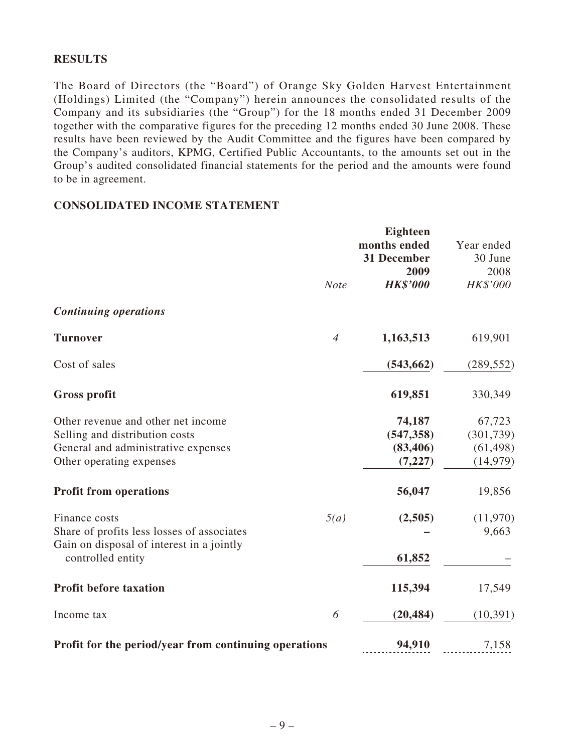# **RESULTS**

The Board of Directors (the "Board") of Orange Sky Golden Harvest Entertainment (Holdings) Limited (the "Company") herein announces the consolidated results of the Company and its subsidiaries (the "Group") for the 18 months ended 31 December 2009 together with the comparative figures for the preceding 12 months ended 30 June 2008. These results have been reviewed by the Audit Committee and the figures have been compared by the Company's auditors, KPMG, Certified Public Accountants, to the amounts set out in the Group's audited consolidated financial statements for the period and the amounts were found to be in agreement.

### **CONSOLIDATED INCOME STATEMENT**

|                                                                                                                                         | <b>Note</b>    | <b>Eighteen</b><br>months ended<br>31 December<br>2009<br><b>HK\$'000</b> | Year ended<br>30 June<br>2008<br>HK\$'000      |
|-----------------------------------------------------------------------------------------------------------------------------------------|----------------|---------------------------------------------------------------------------|------------------------------------------------|
| <b>Continuing operations</b>                                                                                                            |                |                                                                           |                                                |
| <b>Turnover</b>                                                                                                                         | $\overline{4}$ | 1,163,513                                                                 | 619,901                                        |
| Cost of sales                                                                                                                           |                | (543, 662)                                                                | (289, 552)                                     |
| <b>Gross profit</b>                                                                                                                     |                | 619,851                                                                   | 330,349                                        |
| Other revenue and other net income<br>Selling and distribution costs<br>General and administrative expenses<br>Other operating expenses |                | 74,187<br>(547, 358)<br>(83, 406)<br>(7, 227)                             | 67,723<br>(301, 739)<br>(61, 498)<br>(14, 979) |
| <b>Profit from operations</b>                                                                                                           |                | 56,047                                                                    | 19,856                                         |
| Finance costs<br>Share of profits less losses of associates<br>Gain on disposal of interest in a jointly<br>controlled entity           | 5(a)           | (2,505)<br>61,852                                                         | (11,970)<br>9,663                              |
| <b>Profit before taxation</b>                                                                                                           |                | 115,394                                                                   | 17,549                                         |
| Income tax                                                                                                                              | 6              | (20, 484)                                                                 | (10, 391)                                      |
| Profit for the period/year from continuing operations                                                                                   |                | 94,910                                                                    | 7,158                                          |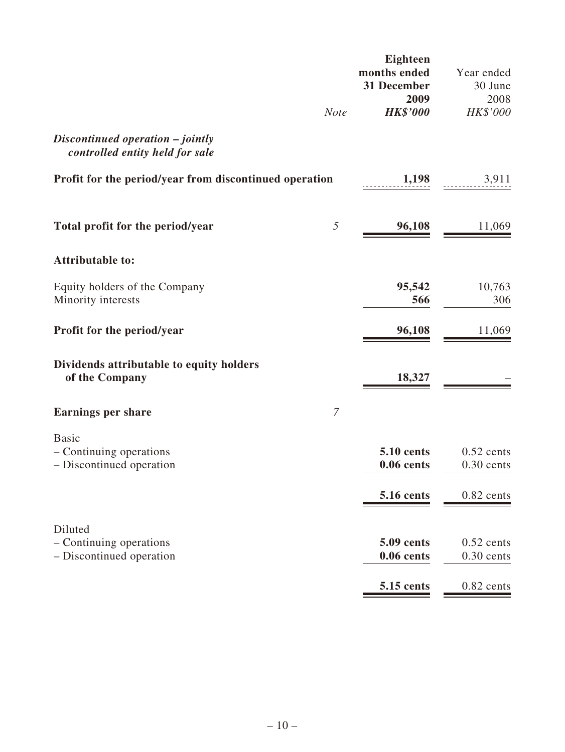|                                                                     | <b>Note</b>   | Eighteen<br>months ended<br>31 December<br>2009<br><b>HK\$'000</b> | Year ended<br>30 June<br>2008<br>HK\$'000 |
|---------------------------------------------------------------------|---------------|--------------------------------------------------------------------|-------------------------------------------|
| Discontinued operation - jointly<br>controlled entity held for sale |               |                                                                    |                                           |
| Profit for the period/year from discontinued operation              |               | 1,198                                                              | 3,911                                     |
| Total profit for the period/year                                    | 5             | 96,108                                                             | 11,069                                    |
| <b>Attributable to:</b>                                             |               |                                                                    |                                           |
| Equity holders of the Company<br>Minority interests                 |               | 95,542<br>566                                                      | 10,763<br>306                             |
| Profit for the period/year                                          |               | 96,108                                                             | 11,069                                    |
| Dividends attributable to equity holders<br>of the Company          |               | 18,327                                                             |                                           |
| <b>Earnings per share</b>                                           | $\mathcal{I}$ |                                                                    |                                           |
| <b>Basic</b><br>- Continuing operations<br>- Discontinued operation |               | <b>5.10 cents</b><br>$0.06$ cents                                  | $0.52$ cents<br>$0.30$ cents              |
|                                                                     |               | <b>5.16 cents</b>                                                  | $0.82$ cents                              |
| Diluted<br>- Continuing operations<br>- Discontinued operation      |               | <b>5.09 cents</b><br>$0.06$ cents                                  | $0.52$ cents<br>$0.30$ cents              |
|                                                                     |               | 5.15 cents                                                         | $0.82$ cents                              |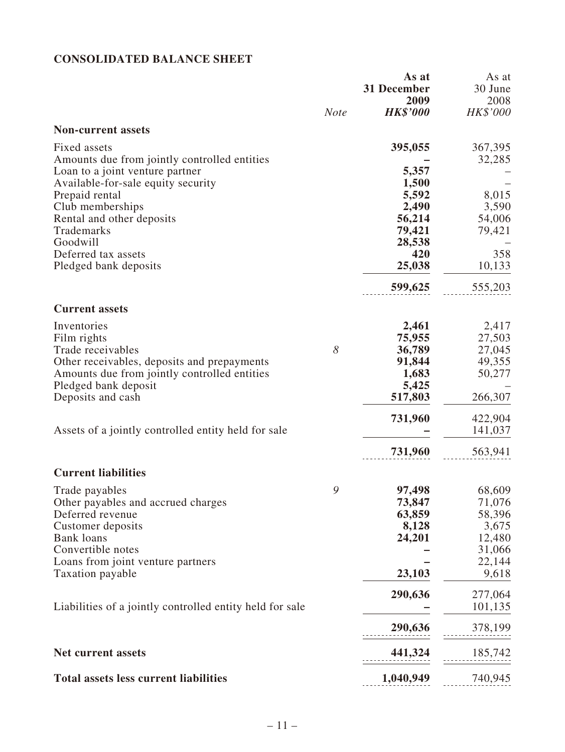# **CONSOLIDATED BALANCE SHEET**

|                                                              | <b>Note</b> | As at<br>31 December<br>2009<br><b>HK\$'000</b> | As at<br>30 June<br>2008<br>HK\$'000 |
|--------------------------------------------------------------|-------------|-------------------------------------------------|--------------------------------------|
| <b>Non-current assets</b>                                    |             |                                                 |                                      |
| Fixed assets<br>Amounts due from jointly controlled entities |             | 395,055                                         | 367,395<br>32,285                    |
| Loan to a joint venture partner                              |             | 5,357                                           |                                      |
| Available-for-sale equity security                           |             | 1,500                                           |                                      |
| Prepaid rental<br>Club memberships                           |             | 5,592<br>2,490                                  | 8,015<br>3,590                       |
| Rental and other deposits                                    |             | 56,214                                          | 54,006                               |
| Trademarks                                                   |             | 79,421                                          | 79,421                               |
| Goodwill                                                     |             | 28,538                                          |                                      |
| Deferred tax assets                                          |             | 420                                             | 358                                  |
| Pledged bank deposits                                        |             | 25,038                                          | 10,133                               |
|                                                              |             | 599,625                                         | 555,203                              |
| <b>Current assets</b>                                        |             |                                                 |                                      |
| Inventories                                                  |             | 2,461                                           | 2,417                                |
| Film rights                                                  |             | 75,955                                          | 27,503                               |
| Trade receivables                                            | 8           | 36,789                                          | 27,045                               |
| Other receivables, deposits and prepayments                  |             | 91,844                                          | 49,355                               |
| Amounts due from jointly controlled entities                 |             | 1,683                                           | 50,277                               |
| Pledged bank deposit<br>Deposits and cash                    |             | 5,425<br>517,803                                | 266,307                              |
|                                                              |             |                                                 |                                      |
|                                                              |             | 731,960                                         | 422,904                              |
| Assets of a jointly controlled entity held for sale          |             |                                                 | 141,037                              |
|                                                              |             | 731,960                                         | 563,941                              |
| <b>Current liabilities</b>                                   |             |                                                 |                                      |
| Trade payables                                               | 9           | 97,498                                          | 68,609                               |
| Other payables and accrued charges                           |             | 73,847                                          | 71,076                               |
| Deferred revenue                                             |             | 63,859                                          | 58,396                               |
| Customer deposits                                            |             | 8,128                                           | 3,675                                |
| <b>Bank</b> loans<br>Convertible notes                       |             | 24,201                                          | 12,480                               |
| Loans from joint venture partners                            |             |                                                 | 31,066<br>22,144                     |
| Taxation payable                                             |             | 23,103                                          | 9,618                                |
|                                                              |             | 290,636                                         | 277,064                              |
| Liabilities of a jointly controlled entity held for sale     |             |                                                 | 101,135                              |
|                                                              |             | 290,636                                         | 378,199                              |
| <b>Net current assets</b>                                    |             | 441,324                                         | 185,742                              |
| <b>Total assets less current liabilities</b>                 |             | 1,040,949                                       | 740,945                              |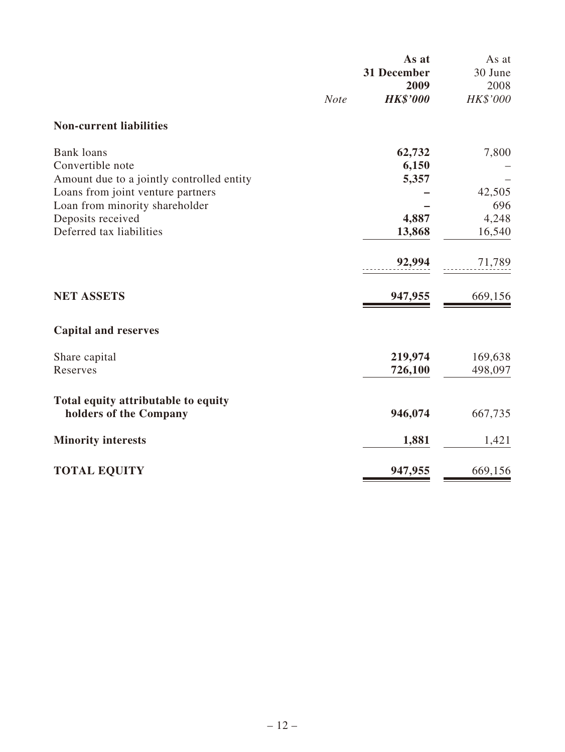|                                           |             | As at<br>31 December    | As at<br>30 June |
|-------------------------------------------|-------------|-------------------------|------------------|
|                                           | <b>Note</b> | 2009<br><b>HK\$'000</b> | 2008<br>HK\$'000 |
| <b>Non-current liabilities</b>            |             |                         |                  |
| <b>Bank</b> loans                         |             | 62,732                  | 7,800            |
| Convertible note                          |             | 6,150                   |                  |
| Amount due to a jointly controlled entity |             | 5,357                   |                  |
| Loans from joint venture partners         |             |                         | 42,505           |
| Loan from minority shareholder            |             |                         | 696              |
| Deposits received                         |             | 4,887                   | 4,248            |
| Deferred tax liabilities                  |             | 13,868                  | 16,540           |
|                                           |             | 92,994                  | 71,789           |
| <b>NET ASSETS</b>                         |             | 947,955                 | 669,156          |
| <b>Capital and reserves</b>               |             |                         |                  |
| Share capital                             |             | 219,974                 | 169,638          |
| Reserves                                  |             | 726,100                 | 498,097          |
| Total equity attributable to equity       |             |                         |                  |
| holders of the Company                    |             | 946,074                 | 667,735          |
| <b>Minority interests</b>                 |             | 1,881                   | 1,421            |
| <b>TOTAL EQUITY</b>                       |             | 947,955                 | 669,156          |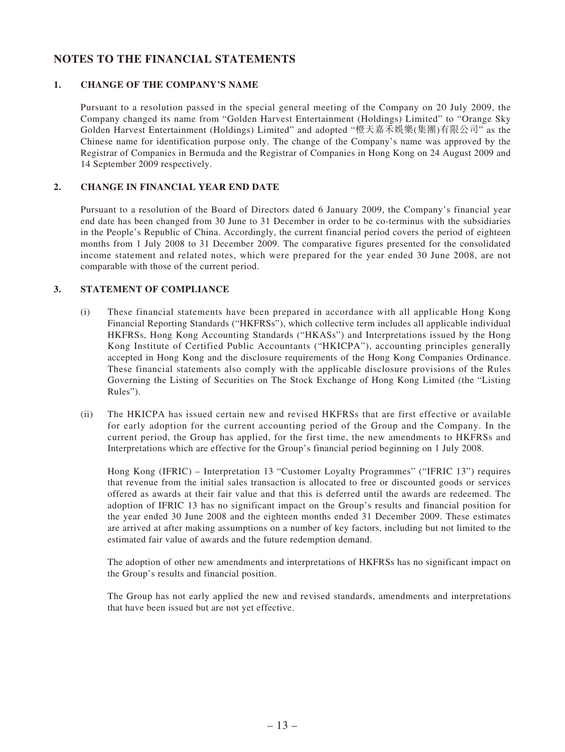# **NOTES TO THE FINANCIAL STATEMENTS**

#### **1. CHANGE OF THE COMPANY'S NAME**

Pursuant to a resolution passed in the special general meeting of the Company on 20 July 2009, the Company changed its name from "Golden Harvest Entertainment (Holdings) Limited" to "Orange Sky Golden Harvest Entertainment (Holdings) Limited" and adopted "橙天嘉禾娛樂(集團)有限公司" as the Chinese name for identification purpose only. The change of the Company's name was approved by the Registrar of Companies in Bermuda and the Registrar of Companies in Hong Kong on 24 August 2009 and 14 September 2009 respectively.

#### **2. CHANGE IN FINANCIAL YEAR END DATE**

Pursuant to a resolution of the Board of Directors dated 6 January 2009, the Company's financial year end date has been changed from 30 June to 31 December in order to be co-terminus with the subsidiaries in the People's Republic of China. Accordingly, the current financial period covers the period of eighteen months from 1 July 2008 to 31 December 2009. The comparative figures presented for the consolidated income statement and related notes, which were prepared for the year ended 30 June 2008, are not comparable with those of the current period.

#### **3. STATEMENT OF COMPLIANCE**

- (i) These financial statements have been prepared in accordance with all applicable Hong Kong Financial Reporting Standards ("HKFRSs"), which collective term includes all applicable individual HKFRSs, Hong Kong Accounting Standards ("HKASs") and Interpretations issued by the Hong Kong Institute of Certified Public Accountants ("HKICPA"), accounting principles generally accepted in Hong Kong and the disclosure requirements of the Hong Kong Companies Ordinance. These financial statements also comply with the applicable disclosure provisions of the Rules Governing the Listing of Securities on The Stock Exchange of Hong Kong Limited (the "Listing Rules").
- (ii) The HKICPA has issued certain new and revised HKFRSs that are first effective or available for early adoption for the current accounting period of the Group and the Company. In the current period, the Group has applied, for the first time, the new amendments to HKFRSs and Interpretations which are effective for the Group's financial period beginning on 1 July 2008.

Hong Kong (IFRIC) – Interpretation 13 "Customer Loyalty Programmes" ("IFRIC 13") requires that revenue from the initial sales transaction is allocated to free or discounted goods or services offered as awards at their fair value and that this is deferred until the awards are redeemed. The adoption of IFRIC 13 has no significant impact on the Group's results and financial position for the year ended 30 June 2008 and the eighteen months ended 31 December 2009. These estimates are arrived at after making assumptions on a number of key factors, including but not limited to the estimated fair value of awards and the future redemption demand.

The adoption of other new amendments and interpretations of HKFRSs has no significant impact on the Group's results and financial position.

The Group has not early applied the new and revised standards, amendments and interpretations that have been issued but are not yet effective.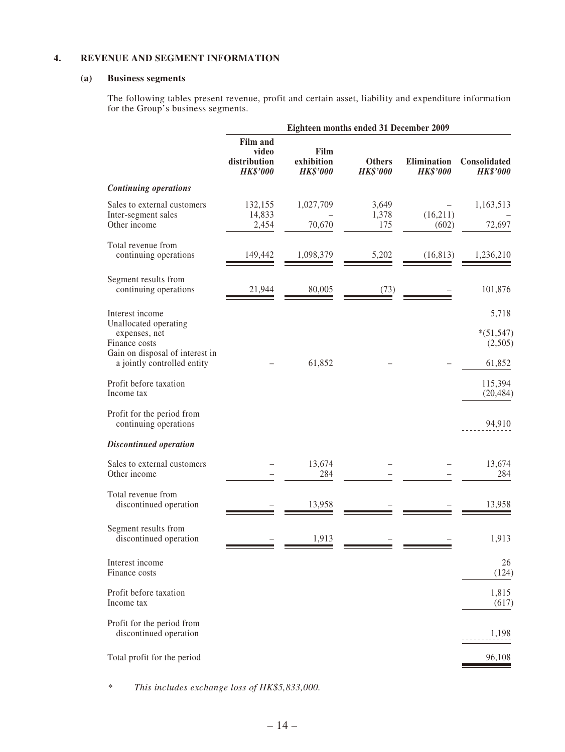#### **4. REVENUE AND SEGMENT INFORMATION**

#### **(a) Business segments**

The following tables present revenue, profit and certain asset, liability and expenditure information for the Group's business segments.

|                                                                                                                                              |                                                             |                                       | Eighteen months ended 31 December 2009 |                                |                                           |
|----------------------------------------------------------------------------------------------------------------------------------------------|-------------------------------------------------------------|---------------------------------------|----------------------------------------|--------------------------------|-------------------------------------------|
|                                                                                                                                              | <b>Film and</b><br>video<br>distribution<br><b>HK\$'000</b> | Film<br>exhibition<br><b>HK\$'000</b> | <b>Others</b><br><b>HK\$'000</b>       | Elimination<br><b>HK\$'000</b> | Consolidated<br><b>HK\$'000</b>           |
| <b>Continuing operations</b>                                                                                                                 |                                                             |                                       |                                        |                                |                                           |
| Sales to external customers<br>Inter-segment sales<br>Other income                                                                           | 132,155<br>14,833<br>2,454                                  | 1,027,709<br>70,670                   | 3,649<br>1,378<br>175                  | (16,211)<br>(602)              | 1,163,513<br>72,697                       |
| Total revenue from<br>continuing operations                                                                                                  | 149,442                                                     | 1,098,379                             | 5,202                                  | (16, 813)                      | 1,236,210                                 |
| Segment results from<br>continuing operations                                                                                                | 21,944                                                      | 80,005                                | (73)                                   |                                | 101,876                                   |
| Interest income<br>Unallocated operating<br>expenses, net<br>Finance costs<br>Gain on disposal of interest in<br>a jointly controlled entity |                                                             | 61,852                                |                                        |                                | 5,718<br>$*(51,547)$<br>(2,505)<br>61,852 |
| Profit before taxation<br>Income tax<br>Profit for the period from                                                                           |                                                             |                                       |                                        |                                | 115,394<br>(20, 484)                      |
| continuing operations<br><b>Discontinued operation</b>                                                                                       |                                                             |                                       |                                        |                                | 94,910                                    |
| Sales to external customers<br>Other income                                                                                                  |                                                             | 13,674<br>284                         |                                        |                                | 13,674<br>284                             |
| Total revenue from<br>discontinued operation                                                                                                 |                                                             | 13,958                                |                                        |                                | 13,958                                    |
| Segment results from<br>discontinued operation                                                                                               |                                                             | 1,913                                 |                                        |                                | 1,913                                     |
| Interest income<br>Finance costs                                                                                                             |                                                             |                                       |                                        |                                | 26<br>(124)                               |
| Profit before taxation<br>Income tax                                                                                                         |                                                             |                                       |                                        |                                | 1,815<br>(617)                            |
| Profit for the period from<br>discontinued operation                                                                                         |                                                             |                                       |                                        |                                | 1,198                                     |
| Total profit for the period                                                                                                                  |                                                             |                                       |                                        |                                | 96,108                                    |

*\* This includes exchange loss of HK\$5,833,000.*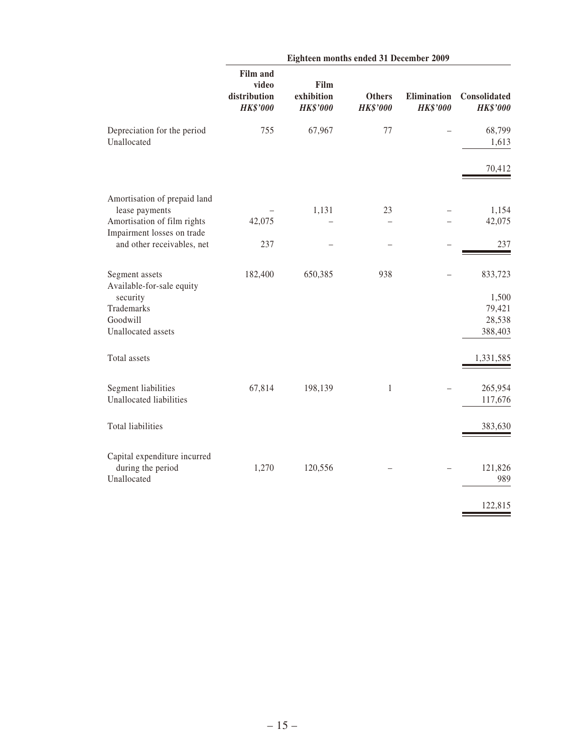|                                                          |                                                             | Eighteen months ended 31 December 2009 |                                  |                                |                                 |
|----------------------------------------------------------|-------------------------------------------------------------|----------------------------------------|----------------------------------|--------------------------------|---------------------------------|
|                                                          | <b>Film and</b><br>video<br>distribution<br><b>HK\$'000</b> | Film<br>exhibition<br><b>HK\$'000</b>  | <b>Others</b><br><b>HK\$'000</b> | Elimination<br><b>HK\$'000</b> | Consolidated<br><b>HK\$'000</b> |
| Depreciation for the period<br>Unallocated               | 755                                                         | 67,967                                 | 77                               |                                | 68,799<br>1,613                 |
|                                                          |                                                             |                                        |                                  |                                | 70,412                          |
| Amortisation of prepaid land<br>lease payments           |                                                             | 1,131                                  | 23                               |                                | 1,154                           |
| Amortisation of film rights                              | 42,075                                                      |                                        |                                  |                                | 42,075                          |
| Impairment losses on trade<br>and other receivables, net | 237                                                         |                                        |                                  |                                | 237                             |
| Segment assets<br>Available-for-sale equity              | 182,400                                                     | 650,385                                | 938                              |                                | 833,723                         |
| security<br>Trademarks<br>Goodwill<br>Unallocated assets |                                                             |                                        |                                  |                                | 1,500<br>79,421<br>28,538       |
|                                                          |                                                             |                                        |                                  |                                | 388,403                         |
| Total assets                                             |                                                             |                                        |                                  |                                | 1,331,585                       |
| Segment liabilities<br>Unallocated liabilities           | 67,814                                                      | 198,139                                | $\mathbf{1}$                     |                                | 265,954<br>117,676              |
| <b>Total liabilities</b>                                 |                                                             |                                        |                                  |                                | 383,630                         |
| Capital expenditure incurred                             |                                                             |                                        |                                  |                                |                                 |
| during the period<br>Unallocated                         | 1,270                                                       | 120,556                                |                                  |                                | 121,826<br>989                  |
|                                                          |                                                             |                                        |                                  |                                | 122,815                         |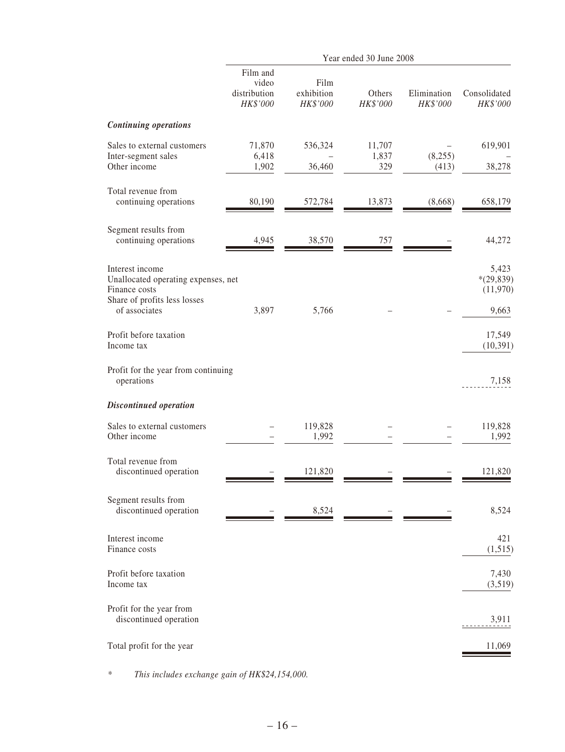|                                                                                                                          |                                               |                                | Year ended 30 June 2008 |                         |                                           |
|--------------------------------------------------------------------------------------------------------------------------|-----------------------------------------------|--------------------------------|-------------------------|-------------------------|-------------------------------------------|
|                                                                                                                          | Film and<br>video<br>distribution<br>HK\$'000 | Film<br>exhibition<br>HK\$'000 | Others<br>HK\$'000      | Elimination<br>HK\$'000 | Consolidated<br>HK\$'000                  |
| <b>Continuing operations</b>                                                                                             |                                               |                                |                         |                         |                                           |
| Sales to external customers<br>Inter-segment sales<br>Other income                                                       | 71,870<br>6,418<br>1,902                      | 536,324<br>36,460              | 11,707<br>1,837<br>329  | (8,255)<br>(413)        | 619,901<br>38,278                         |
| Total revenue from<br>continuing operations                                                                              | 80,190                                        | 572,784                        | 13,873                  | (8,668)                 | 658,179                                   |
| Segment results from<br>continuing operations                                                                            | 4,945                                         | 38,570                         | 757                     |                         | 44,272                                    |
| Interest income<br>Unallocated operating expenses, net<br>Finance costs<br>Share of profits less losses<br>of associates | 3,897                                         | 5,766                          |                         |                         | 5,423<br>$*(29,839)$<br>(11,970)<br>9,663 |
| Profit before taxation<br>Income tax                                                                                     |                                               |                                |                         |                         | 17,549<br>(10,391)                        |
| Profit for the year from continuing<br>operations                                                                        |                                               |                                |                         |                         | 7,158                                     |
| <b>Discontinued operation</b>                                                                                            |                                               |                                |                         |                         |                                           |
| Sales to external customers<br>Other income                                                                              |                                               | 119,828<br>1,992               |                         |                         | 119,828<br>1,992                          |
| Total revenue from<br>discontinued operation                                                                             |                                               | 121,820                        |                         |                         | 121,820                                   |
| Segment results from<br>discontinued operation                                                                           |                                               | 8,524                          |                         |                         | 8,524                                     |
| Interest income<br>Finance costs                                                                                         |                                               |                                |                         |                         | 421<br>(1,515)                            |
| Profit before taxation<br>Income tax                                                                                     |                                               |                                |                         |                         | 7,430<br>(3,519)                          |
| Profit for the year from<br>discontinued operation                                                                       |                                               |                                |                         |                         | 3,911                                     |
| Total profit for the year                                                                                                |                                               |                                |                         |                         | 11,069                                    |

*\* This includes exchange gain of HK\$24,154,000.*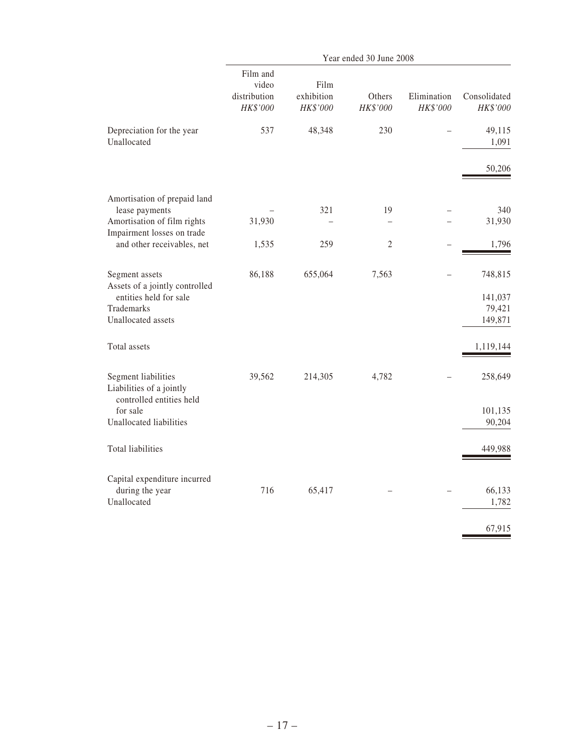|                                                                             |                                               |                                | Year ended 30 June 2008 |                         |                              |
|-----------------------------------------------------------------------------|-----------------------------------------------|--------------------------------|-------------------------|-------------------------|------------------------------|
|                                                                             | Film and<br>video<br>distribution<br>HK\$'000 | Film<br>exhibition<br>HK\$'000 | Others<br>HK\$'000      | Elimination<br>HK\$'000 | Consolidated<br>HK\$'000     |
| Depreciation for the year<br>Unallocated                                    | 537                                           | 48,348                         | 230                     |                         | 49,115<br>1,091              |
|                                                                             |                                               |                                |                         |                         | 50,206                       |
| Amortisation of prepaid land<br>lease payments                              |                                               | 321                            | 19                      |                         | 340                          |
| Amortisation of film rights                                                 | 31,930                                        |                                |                         |                         | 31,930                       |
| Impairment losses on trade<br>and other receivables, net                    | 1,535                                         | 259                            | $\mathfrak{2}$          |                         | 1,796                        |
| Segment assets<br>Assets of a jointly controlled                            | 86,188                                        | 655,064                        | 7,563                   |                         | 748,815                      |
| entities held for sale<br>Trademarks<br>Unallocated assets                  |                                               |                                |                         |                         | 141,037<br>79,421<br>149,871 |
| Total assets                                                                |                                               |                                |                         |                         | 1,119,144                    |
| Segment liabilities<br>Liabilities of a jointly<br>controlled entities held | 39,562                                        | 214,305                        | 4,782                   |                         | 258,649                      |
| for sale<br>Unallocated liabilities                                         |                                               |                                |                         |                         | 101,135<br>90,204            |
| Total liabilities                                                           |                                               |                                |                         |                         | 449,988                      |
| Capital expenditure incurred<br>during the year<br>Unallocated              | 716                                           | 65,417                         |                         |                         | 66,133<br>1,782              |
|                                                                             |                                               |                                |                         |                         | 67,915                       |
|                                                                             |                                               |                                |                         |                         |                              |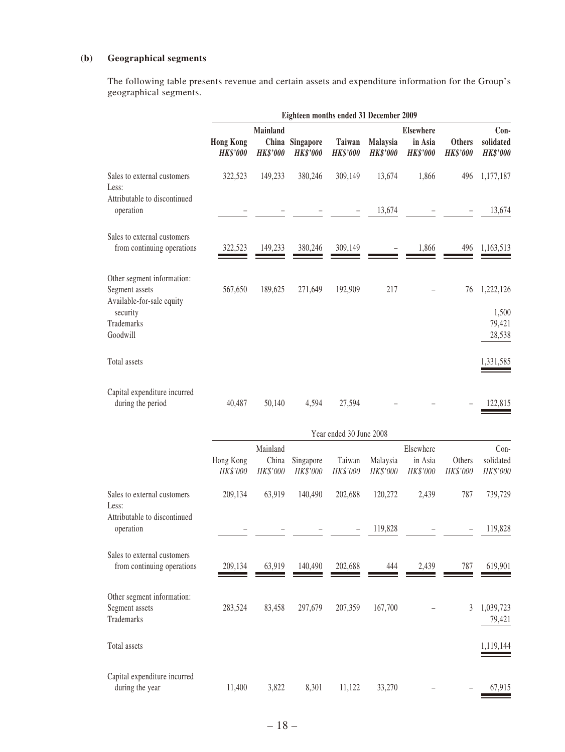# **(b) Geographical segments**

The following table presents revenue and certain assets and expenditure information for the Group's geographical segments.

|                                                                           |                                     |                                             | Eighteen months ended 31 December 2009 |                           |                                    |                                                |                                  |                                        |
|---------------------------------------------------------------------------|-------------------------------------|---------------------------------------------|----------------------------------------|---------------------------|------------------------------------|------------------------------------------------|----------------------------------|----------------------------------------|
|                                                                           | <b>Hong Kong</b><br><b>HK\$'000</b> | <b>Mainland</b><br>China<br><b>HK\$'000</b> | Singapore<br><b>HK\$'000</b>           | Taiwan<br><b>HK\$'000</b> | <b>Malaysia</b><br><b>HK\$'000</b> | <b>Elsewhere</b><br>in Asia<br><b>HK\$'000</b> | <b>Others</b><br><b>HK\$'000</b> | $Con-$<br>solidated<br><b>HK\$'000</b> |
| Sales to external customers<br>Less:<br>Attributable to discontinued      | 322,523                             | 149,233                                     | 380,246                                | 309,149                   | 13,674                             | 1,866                                          | 496                              | 1,177,187                              |
| operation                                                                 |                                     |                                             |                                        |                           | 13,674                             |                                                |                                  | 13,674                                 |
| Sales to external customers<br>from continuing operations                 | 322,523                             | 149,233                                     | 380,246                                | 309,149                   |                                    | 1,866                                          | 496                              | 1,163,513                              |
| Other segment information:<br>Segment assets<br>Available-for-sale equity | 567,650                             | 189,625                                     | 271,649                                | 192,909                   | 217                                |                                                | 76                               | 1,222,126                              |
| security<br>Trademarks<br>Goodwill                                        |                                     |                                             |                                        |                           |                                    |                                                |                                  | 1,500<br>79,421<br>28,538              |
| Total assets                                                              |                                     |                                             |                                        |                           |                                    |                                                |                                  | 1,331,585                              |
| Capital expenditure incurred<br>during the period                         | 40,487                              | 50,140                                      | 4,594                                  | 27,594                    |                                    |                                                |                                  | 122,815                                |
|                                                                           |                                     |                                             |                                        | Year ended 30 June 2008   |                                    |                                                |                                  |                                        |
|                                                                           |                                     | Mainland                                    |                                        |                           |                                    | Elsewhere                                      |                                  | $Con-$                                 |

|                                                            | Hong Kong | Mainland<br>China | Singapore | Taiwan                   | Malaysia | Elsewhere<br>in Asia | Others   | Con-<br>solidated   |
|------------------------------------------------------------|-----------|-------------------|-----------|--------------------------|----------|----------------------|----------|---------------------|
|                                                            | HK\$'000  | HK\$'000          | HK\$'000  | HK\$'000                 | HK\$'000 | HK\$'000             | HK\$'000 | HK\$'000            |
| Sales to external customers<br>Less:                       | 209,134   | 63,919            | 140,490   | 202,688                  | 120,272  | 2,439                | 787      | 739,729             |
| Attributable to discontinued<br>operation                  |           |                   |           | $\overline{\phantom{m}}$ | 119,828  |                      |          | 119,828             |
| Sales to external customers<br>from continuing operations  | 209,134   | 63,919            | 140,490   | 202,688                  | 444      | 2,439                | 787      | 619,901             |
| Other segment information:<br>Segment assets<br>Trademarks | 283,524   | 83,458            | 297,679   | 207,359                  | 167,700  |                      | 3        | 1,039,723<br>79,421 |
| Total assets                                               |           |                   |           |                          |          |                      |          | 1,119,144           |
| Capital expenditure incurred<br>during the year            | 11,400    | 3,822             | 8,301     | 11,122                   | 33,270   |                      |          | 67,915              |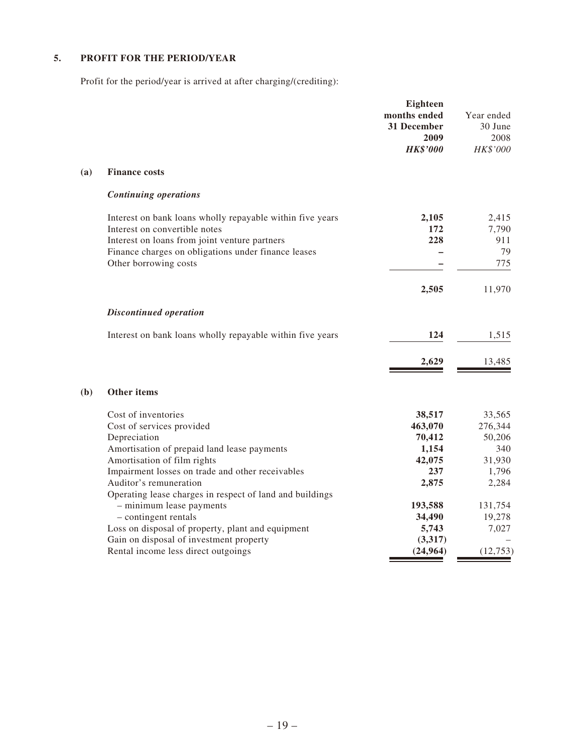# **5. PROFIT FOR THE PERIOD/YEAR**

Profit for the period/year is arrived at after charging/(crediting):

|            |                                                                                                      | Eighteen<br>months ended<br>31 December<br>2009<br><b>HK\$'000</b> | Year ended<br>30 June<br>2008<br>HK\$'000 |
|------------|------------------------------------------------------------------------------------------------------|--------------------------------------------------------------------|-------------------------------------------|
| <b>(a)</b> | <b>Finance costs</b>                                                                                 |                                                                    |                                           |
|            | <b>Continuing operations</b>                                                                         |                                                                    |                                           |
|            | Interest on bank loans wholly repayable within five years<br>Interest on convertible notes           | 2,105<br>172                                                       | 2,415<br>7,790                            |
|            | Interest on loans from joint venture partners<br>Finance charges on obligations under finance leases | 228                                                                | 911<br>79                                 |
|            | Other borrowing costs                                                                                |                                                                    | 775                                       |
|            |                                                                                                      | 2,505                                                              | 11,970                                    |
|            | <b>Discontinued operation</b>                                                                        |                                                                    |                                           |
|            | Interest on bank loans wholly repayable within five years                                            | 124                                                                | 1,515                                     |
|            |                                                                                                      | 2,629                                                              | 13,485                                    |
| (b)        | Other items                                                                                          |                                                                    |                                           |
|            | Cost of inventories<br>Cost of services provided                                                     | 38,517<br>463,070                                                  | 33,565<br>276,344                         |
|            | Depreciation<br>Amortisation of prepaid land lease payments                                          | 70,412<br>1,154                                                    | 50,206<br>340                             |
|            | Amortisation of film rights                                                                          | 42,075                                                             | 31,930                                    |
|            | Impairment losses on trade and other receivables<br>Auditor's remuneration                           | 237<br>2,875                                                       | 1,796<br>2,284                            |
|            | Operating lease charges in respect of land and buildings<br>- minimum lease payments                 | 193,588                                                            | 131,754                                   |
|            | - contingent rentals<br>Loss on disposal of property, plant and equipment                            | 34,490<br>5,743                                                    | 19,278<br>7,027                           |
|            | Gain on disposal of investment property<br>Rental income less direct outgoings                       | (3,317)<br>(24, 964)                                               | (12,753)                                  |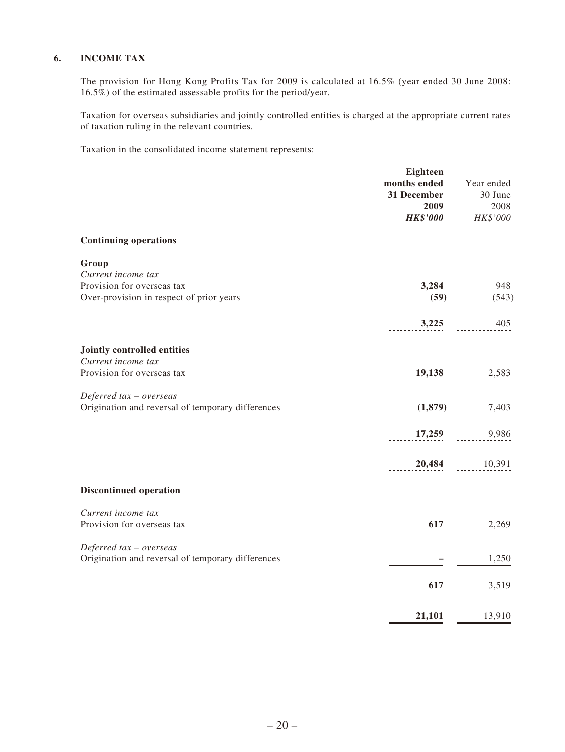#### **6. INCOME TAX**

The provision for Hong Kong Profits Tax for 2009 is calculated at 16.5% (year ended 30 June 2008: 16.5%) of the estimated assessable profits for the period/year.

Taxation for overseas subsidiaries and jointly controlled entities is charged at the appropriate current rates of taxation ruling in the relevant countries.

Taxation in the consolidated income statement represents:

|                                                   | <b>Eighteen</b>         |            |
|---------------------------------------------------|-------------------------|------------|
|                                                   | months ended            | Year ended |
|                                                   | 31 December             | 30 June    |
|                                                   | 2009<br><b>HK\$'000</b> | 2008       |
|                                                   |                         | HK\$'000   |
| <b>Continuing operations</b>                      |                         |            |
| Group                                             |                         |            |
| Current income tax                                |                         |            |
| Provision for overseas tax                        | 3,284                   | 948        |
| Over-provision in respect of prior years          | (59)                    | (543)      |
|                                                   | 3,225                   | 405        |
|                                                   |                         |            |
| Jointly controlled entities                       |                         |            |
| Current income tax                                |                         |            |
| Provision for overseas tax                        | 19,138                  | 2,583      |
| Deferred tax - overseas                           |                         |            |
| Origination and reversal of temporary differences | (1,879)                 | 7,403      |
|                                                   | 17,259                  | 9,986      |
|                                                   |                         |            |
|                                                   | 20,484                  | 10,391     |
|                                                   |                         |            |
| <b>Discontinued operation</b>                     |                         |            |
| Current income tax                                |                         |            |
| Provision for overseas tax                        | 617                     | 2,269      |
| Deferred tax - overseas                           |                         |            |
| Origination and reversal of temporary differences |                         | 1,250      |
|                                                   | 617                     | 3,519      |
|                                                   |                         |            |
|                                                   | 21,101                  | 13,910     |
|                                                   |                         |            |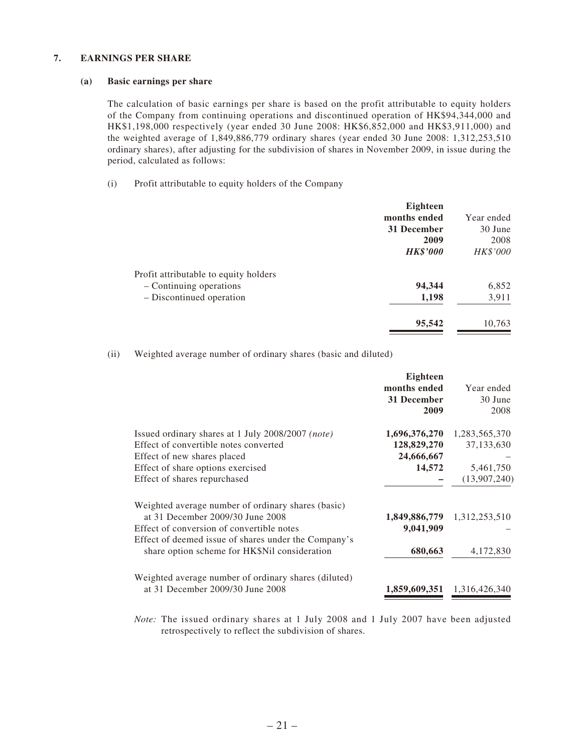#### **7. EARNINGS PER SHARE**

#### **(a) Basic earnings per share**

The calculation of basic earnings per share is based on the profit attributable to equity holders of the Company from continuing operations and discontinued operation of HK\$94,344,000 and HK\$1,198,000 respectively (year ended 30 June 2008: HK\$6,852,000 and HK\$3,911,000) and the weighted average of 1,849,886,779 ordinary shares (year ended 30 June 2008: 1,312,253,510 ordinary shares), after adjusting for the subdivision of shares in November 2009, in issue during the period, calculated as follows:

(i) Profit attributable to equity holders of the Company

| <b>Eighteen</b> |            |
|-----------------|------------|
| months ended    | Year ended |
| 31 December     | 30 June    |
| 2009            | 2008       |
| <b>HK\$'000</b> | HK\$'000   |
|                 |            |
| 94,344          | 6,852      |
| 1,198           | 3,911      |
| 95,542          | 10,763     |
|                 |            |

(ii) Weighted average number of ordinary shares (basic and diluted)

|                                                                                                                                                                                                                                              | Eighteen<br>months ended<br>31 December<br>2009      | Year ended<br>30 June<br>2008                            |
|----------------------------------------------------------------------------------------------------------------------------------------------------------------------------------------------------------------------------------------------|------------------------------------------------------|----------------------------------------------------------|
| Issued ordinary shares at 1 July 2008/2007 (note)<br>Effect of convertible notes converted<br>Effect of new shares placed<br>Effect of share options exercised<br>Effect of shares repurchased                                               | 1,696,376,270<br>128,829,270<br>24,666,667<br>14,572 | 1,283,565,370<br>37,133,630<br>5,461,750<br>(13,907,240) |
| Weighted average number of ordinary shares (basic)<br>at 31 December 2009/30 June 2008<br>Effect of conversion of convertible notes<br>Effect of deemed issue of shares under the Company's<br>share option scheme for HK\$Nil consideration | 9,041,909<br>680,663                                 | 1,849,886,779 1,312,253,510<br>4,172,830                 |
| Weighted average number of ordinary shares (diluted)<br>at 31 December 2009/30 June 2008                                                                                                                                                     | 1,859,609,351                                        | 1,316,426,340                                            |

*Note:* The issued ordinary shares at 1 July 2008 and 1 July 2007 have been adjusted retrospectively to reflect the subdivision of shares.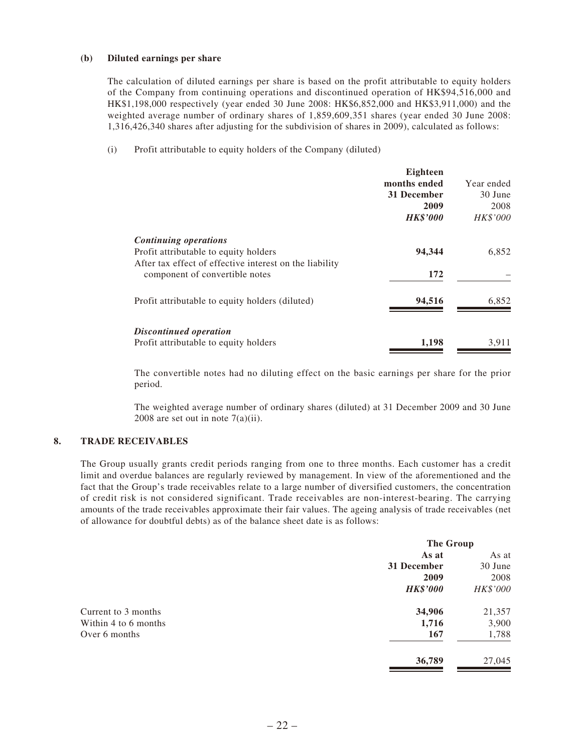#### **(b) Diluted earnings per share**

The calculation of diluted earnings per share is based on the profit attributable to equity holders of the Company from continuing operations and discontinued operation of HK\$94,516,000 and HK\$1,198,000 respectively (year ended 30 June 2008: HK\$6,852,000 and HK\$3,911,000) and the weighted average number of ordinary shares of 1,859,609,351 shares (year ended 30 June 2008: 1,316,426,340 shares after adjusting for the subdivision of shares in 2009), calculated as follows:

(i) Profit attributable to equity holders of the Company (diluted)

|                                                                 | Eighteen        |                 |
|-----------------------------------------------------------------|-----------------|-----------------|
|                                                                 | months ended    | Year ended      |
|                                                                 | 31 December     | 30 June         |
|                                                                 | 2009            | 2008            |
|                                                                 | <b>HK\$'000</b> | <b>HK\$'000</b> |
| Continuing operations                                           |                 |                 |
| Profit attributable to equity holders                           | 94,344          | 6,852           |
| After tax effect of effective interest on the liability         |                 |                 |
| component of convertible notes                                  | 172             |                 |
| Profit attributable to equity holders (diluted)                 | 94,516          | 6,852           |
| Discontinued operation<br>Profit attributable to equity holders | 1,198           | 3,911           |
|                                                                 |                 |                 |

The convertible notes had no diluting effect on the basic earnings per share for the prior period.

The weighted average number of ordinary shares (diluted) at 31 December 2009 and 30 June 2008 are set out in note  $7(a)(ii)$ .

#### **8. TRADE RECEIVABLES**

The Group usually grants credit periods ranging from one to three months. Each customer has a credit limit and overdue balances are regularly reviewed by management. In view of the aforementioned and the fact that the Group's trade receivables relate to a large number of diversified customers, the concentration of credit risk is not considered significant. Trade receivables are non-interest-bearing. The carrying amounts of the trade receivables approximate their fair values. The ageing analysis of trade receivables (net of allowance for doubtful debts) as of the balance sheet date is as follows:

|                      | The Group       |          |
|----------------------|-----------------|----------|
|                      | As at           | As at    |
|                      | 31 December     | 30 June  |
|                      | 2009            | 2008     |
|                      | <b>HK\$'000</b> | HK\$'000 |
| Current to 3 months  | 34,906          | 21,357   |
| Within 4 to 6 months | 1,716           | 3,900    |
| Over 6 months        | 167             | 1,788    |
|                      | 36,789          | 27,045   |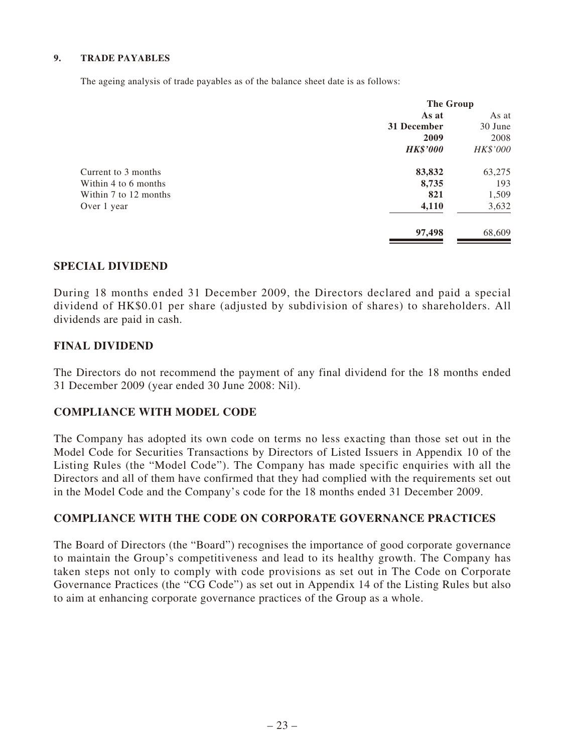#### **9. TRADE PAYABLES**

The ageing analysis of trade payables as of the balance sheet date is as follows:

| <b>The Group</b> |          |
|------------------|----------|
| As at            | As at    |
| 31 December      | 30 June  |
| 2009             | 2008     |
| <b>HK\$'000</b>  | HK\$'000 |
| 83,832           | 63,275   |
| 8,735            | 193      |
| 821              | 1,509    |
| 4,110            | 3,632    |
| 97,498           | 68,609   |
|                  |          |

### **SPECIAL DIVIDEND**

During 18 months ended 31 December 2009, the Directors declared and paid a special dividend of HK\$0.01 per share (adjusted by subdivision of shares) to shareholders. All dividends are paid in cash.

### **FINAL DIVIDEND**

The Directors do not recommend the payment of any final dividend for the 18 months ended 31 December 2009 (year ended 30 June 2008: Nil).

### **COMPLIANCE WITH MODEL CODE**

The Company has adopted its own code on terms no less exacting than those set out in the Model Code for Securities Transactions by Directors of Listed Issuers in Appendix 10 of the Listing Rules (the "Model Code"). The Company has made specific enquiries with all the Directors and all of them have confirmed that they had complied with the requirements set out in the Model Code and the Company's code for the 18 months ended 31 December 2009.

### **COMPLIANCE WITH THE CODE ON CORPORATE GOVERNANCE PRACTICES**

The Board of Directors (the "Board") recognises the importance of good corporate governance to maintain the Group's competitiveness and lead to its healthy growth. The Company has taken steps not only to comply with code provisions as set out in The Code on Corporate Governance Practices (the "CG Code") as set out in Appendix 14 of the Listing Rules but also to aim at enhancing corporate governance practices of the Group as a whole.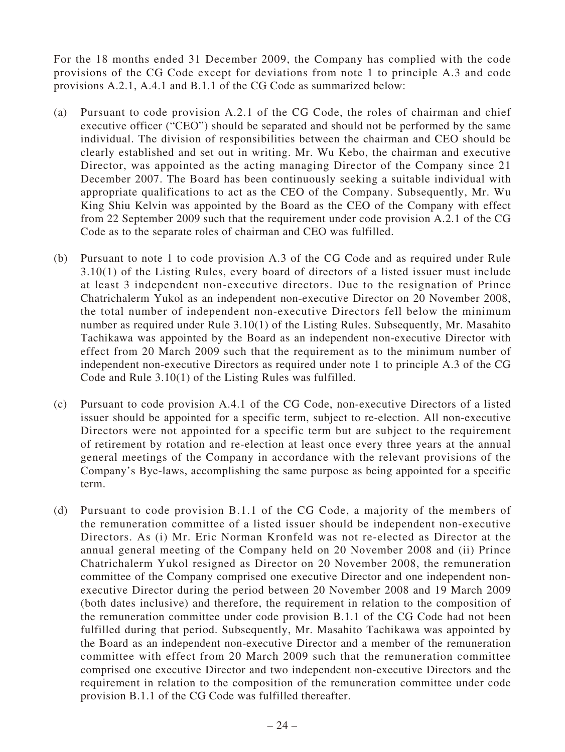For the 18 months ended 31 December 2009, the Company has complied with the code provisions of the CG Code except for deviations from note 1 to principle A.3 and code provisions A.2.1, A.4.1 and B.1.1 of the CG Code as summarized below:

- (a) Pursuant to code provision A.2.1 of the CG Code, the roles of chairman and chief executive officer ("CEO") should be separated and should not be performed by the same individual. The division of responsibilities between the chairman and CEO should be clearly established and set out in writing. Mr. Wu Kebo, the chairman and executive Director, was appointed as the acting managing Director of the Company since 21 December 2007. The Board has been continuously seeking a suitable individual with appropriate qualifications to act as the CEO of the Company. Subsequently, Mr. Wu King Shiu Kelvin was appointed by the Board as the CEO of the Company with effect from 22 September 2009 such that the requirement under code provision A.2.1 of the CG Code as to the separate roles of chairman and CEO was fulfilled.
- (b) Pursuant to note 1 to code provision A.3 of the CG Code and as required under Rule 3.10(1) of the Listing Rules, every board of directors of a listed issuer must include at least 3 independent non-executive directors. Due to the resignation of Prince Chatrichalerm Yukol as an independent non-executive Director on 20 November 2008, the total number of independent non-executive Directors fell below the minimum number as required under Rule 3.10(1) of the Listing Rules. Subsequently, Mr. Masahito Tachikawa was appointed by the Board as an independent non-executive Director with effect from 20 March 2009 such that the requirement as to the minimum number of independent non-executive Directors as required under note 1 to principle A.3 of the CG Code and Rule 3.10(1) of the Listing Rules was fulfilled.
- (c) Pursuant to code provision A.4.1 of the CG Code, non-executive Directors of a listed issuer should be appointed for a specific term, subject to re-election. All non-executive Directors were not appointed for a specific term but are subject to the requirement of retirement by rotation and re-election at least once every three years at the annual general meetings of the Company in accordance with the relevant provisions of the Company's Bye-laws, accomplishing the same purpose as being appointed for a specific term.
- (d) Pursuant to code provision B.1.1 of the CG Code, a majority of the members of the remuneration committee of a listed issuer should be independent non-executive Directors. As (i) Mr. Eric Norman Kronfeld was not re-elected as Director at the annual general meeting of the Company held on 20 November 2008 and (ii) Prince Chatrichalerm Yukol resigned as Director on 20 November 2008, the remuneration committee of the Company comprised one executive Director and one independent nonexecutive Director during the period between 20 November 2008 and 19 March 2009 (both dates inclusive) and therefore, the requirement in relation to the composition of the remuneration committee under code provision B.1.1 of the CG Code had not been fulfilled during that period. Subsequently, Mr. Masahito Tachikawa was appointed by the Board as an independent non-executive Director and a member of the remuneration committee with effect from 20 March 2009 such that the remuneration committee comprised one executive Director and two independent non-executive Directors and the requirement in relation to the composition of the remuneration committee under code provision B.1.1 of the CG Code was fulfilled thereafter.